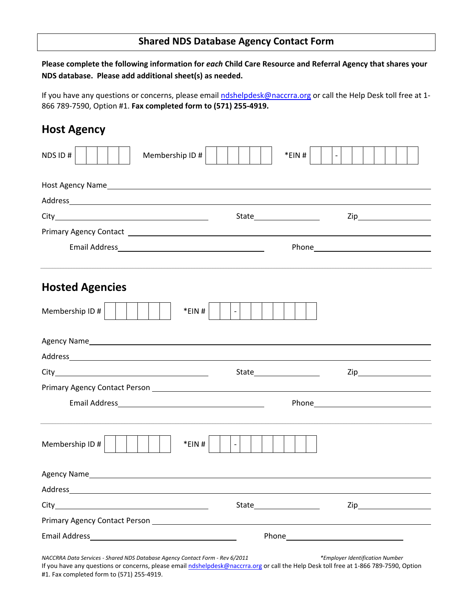## **Shared NDS Database Agency Contact Form**

**Please complete the following information for** *each* **Child Care Resource and Referral Agency that shares your NDS database. Please add additional sheet(s) as needed.**

If you have any questions or concerns, please email ndshelpdesk@naccrra.org or call the Help Desk toll free at 1-866 789‐7590, Option #1. **Fax completed form to (571) 255‐4919.**

## **Host Agency**

| Membership ID #<br>NDS ID#                                                                                                                                                                                                     | *EIN#                             | $\Box$                                                                                                                                                                                                                         |  |
|--------------------------------------------------------------------------------------------------------------------------------------------------------------------------------------------------------------------------------|-----------------------------------|--------------------------------------------------------------------------------------------------------------------------------------------------------------------------------------------------------------------------------|--|
|                                                                                                                                                                                                                                |                                   |                                                                                                                                                                                                                                |  |
|                                                                                                                                                                                                                                |                                   |                                                                                                                                                                                                                                |  |
|                                                                                                                                                                                                                                |                                   |                                                                                                                                                                                                                                |  |
|                                                                                                                                                                                                                                |                                   |                                                                                                                                                                                                                                |  |
|                                                                                                                                                                                                                                |                                   | Phone <b>Example 20</b> Phone <b>Phone</b>                                                                                                                                                                                     |  |
| <b>Hosted Agencies</b>                                                                                                                                                                                                         |                                   |                                                                                                                                                                                                                                |  |
| Membership ID#                                                                                                                                                                                                                 | *EIN#                             |                                                                                                                                                                                                                                |  |
| Agency Names and the contract of the contract of the contract of the contract of the contract of the contract of the contract of the contract of the contract of the contract of the contract of the contract of the contract  |                                   |                                                                                                                                                                                                                                |  |
|                                                                                                                                                                                                                                |                                   |                                                                                                                                                                                                                                |  |
|                                                                                                                                                                                                                                |                                   |                                                                                                                                                                                                                                |  |
|                                                                                                                                                                                                                                |                                   |                                                                                                                                                                                                                                |  |
|                                                                                                                                                                                                                                |                                   |                                                                                                                                                                                                                                |  |
| Membership ID #                                                                                                                                                                                                                | *EIN#<br>$\overline{\phantom{0}}$ |                                                                                                                                                                                                                                |  |
|                                                                                                                                                                                                                                |                                   |                                                                                                                                                                                                                                |  |
|                                                                                                                                                                                                                                |                                   |                                                                                                                                                                                                                                |  |
|                                                                                                                                                                                                                                |                                   | $\mathsf{Zip}\hspace{-.01in} \rule{0pt}{2.5ex}$                                                                                                                                                                                |  |
|                                                                                                                                                                                                                                |                                   |                                                                                                                                                                                                                                |  |
| Email Address and the control of the control of the control of the control of the control of the control of the control of the control of the control of the control of the control of the control of the control of the contr |                                   | Phone experience and the state of the state of the state of the state of the state of the state of the state of the state of the state of the state of the state of the state of the state of the state of the state of the st |  |

*NACCRRA Data Services ‐ Shared NDS Database Agency Contact Form ‐ Rev 6/2011 \*Employer Identification Number*

If you have any questions or concerns, please email ndshelpdesk@naccrra.org or call the Help Desk toll free at 1-866 789-7590, Option #1. Fax completed form to (571) 255‐4919.